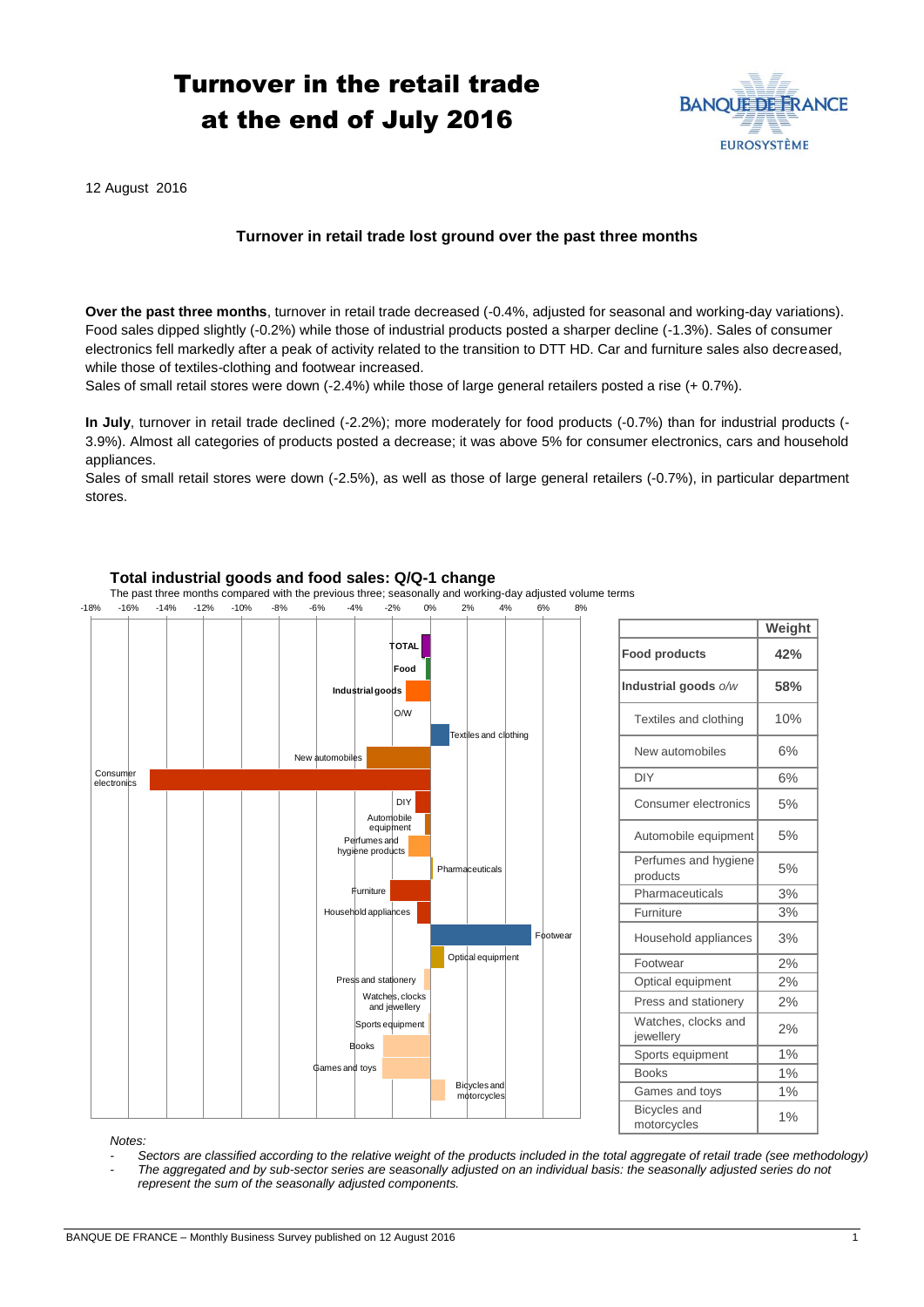## Turnover in the retail trade at the end of July 2016



12 August 2016

## **Turnover in retail trade lost ground over the past three months**

**Over the past three months**, turnover in retail trade decreased (-0.4%, adjusted for seasonal and working-day variations). Food sales dipped slightly (-0.2%) while those of industrial products posted a sharper decline (-1.3%). Sales of consumer electronics fell markedly after a peak of activity related to the transition to DTT HD. Car and furniture sales also decreased, while those of textiles-clothing and footwear increased.

Sales of small retail stores were down (-2.4%) while those of large general retailers posted a rise (+ 0.7%).

**In July**, turnover in retail trade declined (-2.2%); more moderately for food products (-0.7%) than for industrial products (- 3.9%). Almost all categories of products posted a decrease; it was above 5% for consumer electronics, cars and household appliances.

Sales of small retail stores were down (-2.5%), as well as those of large general retailers (-0.7%), in particular department stores.



|                                    | Weight |
|------------------------------------|--------|
| <b>Food products</b>               | 42%    |
| Industrial goods o/w               | 58%    |
| Textiles and clothing              | 10%    |
| New automobiles                    | 6%     |
| DIY                                | 6%     |
| Consumer electronics               | 5%     |
| Automobile equipment               | 5%     |
| Perfumes and hygiene<br>products   | 5%     |
| Pharmaceuticals                    | 3%     |
| Furniture                          | 3%     |
| Household appliances               | 3%     |
| Footwear                           | 2%     |
| Optical equipment                  | 2%     |
| Press and stationery               | 2%     |
| Watches, clocks and<br>jewellery   | 2%     |
| Sports equipment                   | 1%     |
| <b>Books</b>                       | 1%     |
| Games and toys                     | 1%     |
| <b>Bicycles</b> and<br>motorcycles | 1%     |

*Notes:* 

*- Sectors are classified according to the relative weight of the products included in the total aggregate of retail trade (see methodology) - The aggregated and by sub-sector series are seasonally adjusted on an individual basis: the seasonally adjusted series do not represent the sum of the seasonally adjusted components.*